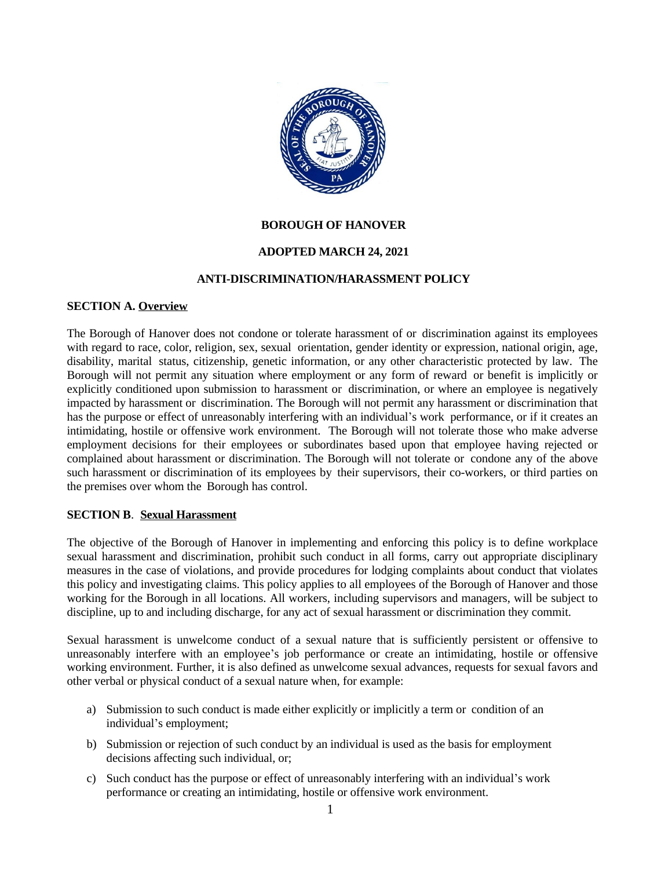

#### **BOROUGH OF HANOVER**

#### **ADOPTED MARCH 24, 2021**

#### **ANTI-DISCRIMINATION/HARASSMENT POLICY**

#### **SECTION A. Overview**

The Borough of Hanover does not condone or tolerate harassment of or discrimination against its employees with regard to race, color, religion, sex, sexual orientation, gender identity or expression, national origin, age, disability, marital status, citizenship, genetic information, or any other characteristic protected by law. The Borough will not permit any situation where employment or any form of reward or benefit is implicitly or explicitly conditioned upon submission to harassment or discrimination, or where an employee is negatively impacted by harassment or discrimination. The Borough will not permit any harassment or discrimination that has the purpose or effect of unreasonably interfering with an individual's work performance, or if it creates an intimidating, hostile or offensive work environment. The Borough will not tolerate those who make adverse employment decisions for their employees or subordinates based upon that employee having rejected or complained about harassment or discrimination. The Borough will not tolerate or condone any of the above such harassment or discrimination of its employees by their supervisors, their co-workers, or third parties on the premises over whom the Borough has control.

#### **SECTION B**. **Sexual Harassment**

The objective of the Borough of Hanover in implementing and enforcing this policy is to define workplace sexual harassment and discrimination, prohibit such conduct in all forms, carry out appropriate disciplinary measures in the case of violations, and provide procedures for lodging complaints about conduct that violates this policy and investigating claims. This policy applies to all employees of the Borough of Hanover and those working for the Borough in all locations. All workers, including supervisors and managers, will be subject to discipline, up to and including discharge, for any act of sexual harassment or discrimination they commit.

Sexual harassment is unwelcome conduct of a sexual nature that is sufficiently persistent or offensive to unreasonably interfere with an employee's job performance or create an intimidating, hostile or offensive working environment. Further, it is also defined as unwelcome sexual advances, requests for sexual favors and other verbal or physical conduct of a sexual nature when, for example:

- a) Submission to such conduct is made either explicitly or implicitly a term or condition of an individual's employment;
- b) Submission or rejection of such conduct by an individual is used as the basis for employment decisions affecting such individual, or;
- c) Such conduct has the purpose or effect of unreasonably interfering with an individual's work performance or creating an intimidating, hostile or offensive work environment.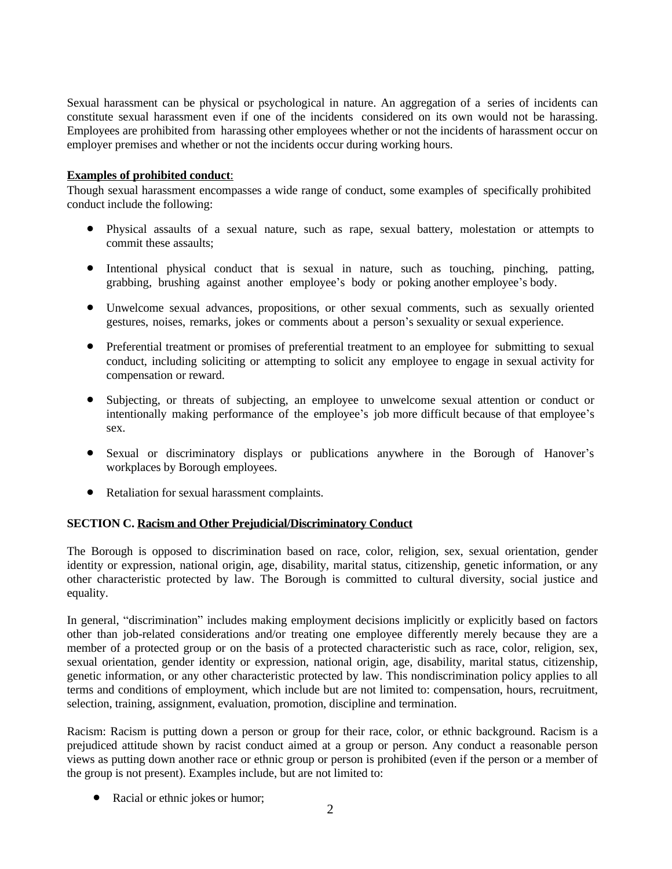Sexual harassment can be physical or psychological in nature. An aggregation of a series of incidents can constitute sexual harassment even if one of the incidents considered on its own would not be harassing. Employees are prohibited from harassing other employees whether or not the incidents of harassment occur on employer premises and whether or not the incidents occur during working hours.

# **Examples of prohibited conduct**:

Though sexual harassment encompasses a wide range of conduct, some examples of specifically prohibited conduct include the following:

- Physical assaults of a sexual nature, such as rape, sexual battery, molestation or attempts to commit these assaults;
- Intentional physical conduct that is sexual in nature, such as touching, pinching, patting, grabbing, brushing against another employee's body or poking another employee's body.
- Unwelcome sexual advances, propositions, or other sexual comments, such as sexually oriented gestures, noises, remarks, jokes or comments about a person's sexuality or sexual experience.
- Preferential treatment or promises of preferential treatment to an employee for submitting to sexual conduct, including soliciting or attempting to solicit any employee to engage in sexual activity for compensation or reward.
- Subjecting, or threats of subjecting, an employee to unwelcome sexual attention or conduct or intentionally making performance of the employee's job more difficult because of that employee's sex.
- Sexual or discriminatory displays or publications anywhere in the Borough of Hanover's workplaces by Borough employees.
- Retaliation for sexual harassment complaints.

## **SECTION C. Racism and Other Prejudicial/Discriminatory Conduct**

The Borough is opposed to discrimination based on race, color, religion, sex, sexual orientation, gender identity or expression, national origin, age, disability, marital status, citizenship, genetic information, or any other characteristic protected by law. The Borough is committed to cultural diversity, social justice and equality.

In general, "discrimination" includes making employment decisions implicitly or explicitly based on factors other than job-related considerations and/or treating one employee differently merely because they are a member of a protected group or on the basis of a protected characteristic such as race, color, religion, sex, sexual orientation, gender identity or expression, national origin, age, disability, marital status, citizenship, genetic information, or any other characteristic protected by law. This nondiscrimination policy applies to all terms and conditions of employment, which include but are not limited to: compensation, hours, recruitment, selection, training, assignment, evaluation, promotion, discipline and termination.

Racism: Racism is putting down a person or group for their race, color, or ethnic background. Racism is a prejudiced attitude shown by racist conduct aimed at a group or person. Any conduct a reasonable person views as putting down another race or ethnic group or person is prohibited (even if the person or a member of the group is not present). Examples include, but are not limited to:

• Racial or ethnic jokes or humor;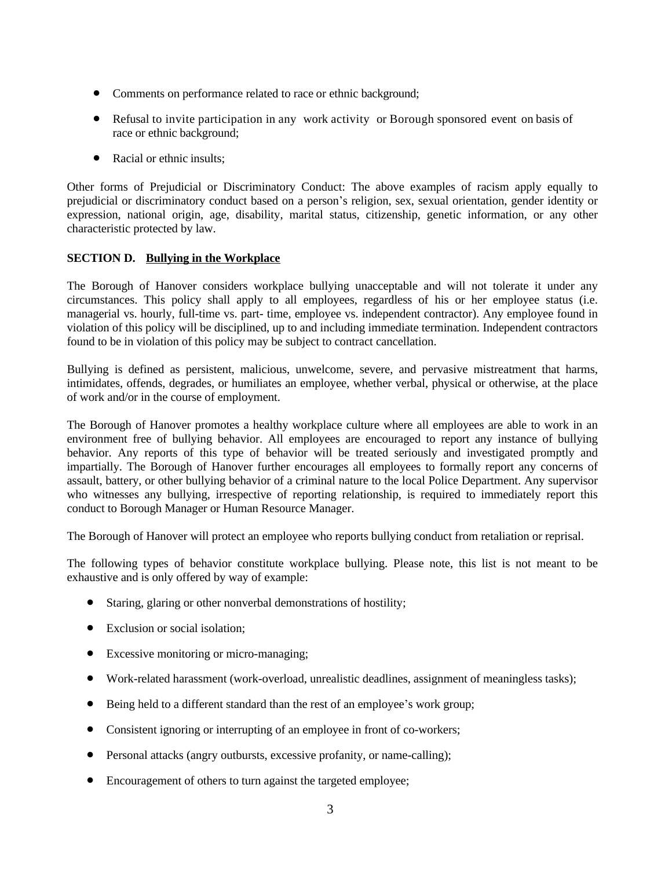- Comments on performance related to race or ethnic background;
- Refusal to invite participation in any work activity or Borough sponsored event on basis of race or ethnic background;
- Racial or ethnic insults;

Other forms of Prejudicial or Discriminatory Conduct: The above examples of racism apply equally to prejudicial or discriminatory conduct based on a person's religion, sex, sexual orientation, gender identity or expression, national origin, age, disability, marital status, citizenship, genetic information, or any other characteristic protected by law.

## **SECTION D. Bullying in the Workplace**

The Borough of Hanover considers workplace bullying unacceptable and will not tolerate it under any circumstances. This policy shall apply to all employees, regardless of his or her employee status (i.e. managerial vs. hourly, full-time vs. part- time, employee vs. independent contractor). Any employee found in violation of this policy will be disciplined, up to and including immediate termination. Independent contractors found to be in violation of this policy may be subject to contract cancellation.

Bullying is defined as persistent, malicious, unwelcome, severe, and pervasive mistreatment that harms, intimidates, offends, degrades, or humiliates an employee, whether verbal, physical or otherwise, at the place of work and/or in the course of employment.

The Borough of Hanover promotes a healthy workplace culture where all employees are able to work in an environment free of bullying behavior. All employees are encouraged to report any instance of bullying behavior. Any reports of this type of behavior will be treated seriously and investigated promptly and impartially. The Borough of Hanover further encourages all employees to formally report any concerns of assault, battery, or other bullying behavior of a criminal nature to the local Police Department. Any supervisor who witnesses any bullying, irrespective of reporting relationship, is required to immediately report this conduct to Borough Manager or Human Resource Manager.

The Borough of Hanover will protect an employee who reports bullying conduct from retaliation or reprisal.

The following types of behavior constitute workplace bullying. Please note, this list is not meant to be exhaustive and is only offered by way of example:

- Staring, glaring or other nonverbal demonstrations of hostility;
- Exclusion or social isolation;
- Excessive monitoring or micro-managing;
- Work-related harassment (work-overload, unrealistic deadlines, assignment of meaningless tasks);
- Being held to a different standard than the rest of an employee's work group;
- Consistent ignoring or interrupting of an employee in front of co-workers;
- Personal attacks (angry outbursts, excessive profanity, or name-calling);
- Encouragement of others to turn against the targeted employee;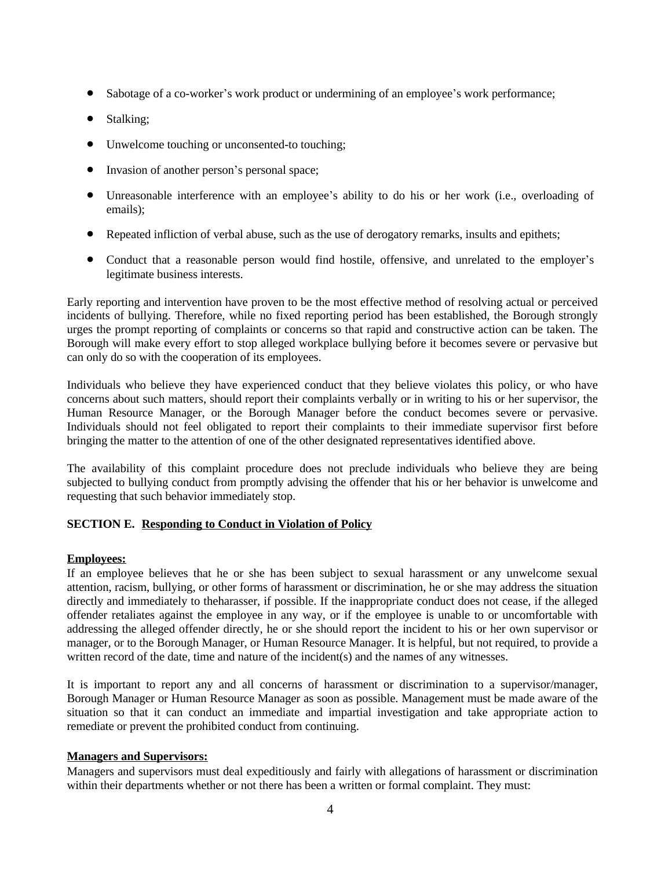- Sabotage of a co-worker's work product or undermining of an employee's work performance;
- Stalking;
- Unwelcome touching or unconsented-to touching;
- Invasion of another person's personal space;
- Unreasonable interference with an employee's ability to do his or her work (i.e., overloading of emails);
- Repeated infliction of verbal abuse, such as the use of derogatory remarks, insults and epithets;
- Conduct that a reasonable person would find hostile, offensive, and unrelated to the employer's legitimate business interests.

Early reporting and intervention have proven to be the most effective method of resolving actual or perceived incidents of bullying. Therefore, while no fixed reporting period has been established, the Borough strongly urges the prompt reporting of complaints or concerns so that rapid and constructive action can be taken. The Borough will make every effort to stop alleged workplace bullying before it becomes severe or pervasive but can only do so with the cooperation of its employees.

Individuals who believe they have experienced conduct that they believe violates this policy, or who have concerns about such matters, should report their complaints verbally or in writing to his or her supervisor, the Human Resource Manager, or the Borough Manager before the conduct becomes severe or pervasive. Individuals should not feel obligated to report their complaints to their immediate supervisor first before bringing the matter to the attention of one of the other designated representatives identified above.

The availability of this complaint procedure does not preclude individuals who believe they are being subjected to bullying conduct from promptly advising the offender that his or her behavior is unwelcome and requesting that such behavior immediately stop.

## **SECTION E. Responding to Conduct in Violation of Policy**

## **Employees:**

If an employee believes that he or she has been subject to sexual harassment or any unwelcome sexual attention, racism, bullying, or other forms of harassment or discrimination, he or she may address the situation directly and immediately to theharasser, if possible. If the inappropriate conduct does not cease, if the alleged offender retaliates against the employee in any way, or if the employee is unable to or uncomfortable with addressing the alleged offender directly, he or she should report the incident to his or her own supervisor or manager, or to the Borough Manager, or Human Resource Manager. It is helpful, but not required, to provide a written record of the date, time and nature of the incident(s) and the names of any witnesses.

It is important to report any and all concerns of harassment or discrimination to a supervisor/manager, Borough Manager or Human Resource Manager as soon as possible. Management must be made aware of the situation so that it can conduct an immediate and impartial investigation and take appropriate action to remediate or prevent the prohibited conduct from continuing.

## **Managers and Supervisors:**

Managers and supervisors must deal expeditiously and fairly with allegations of harassment or discrimination within their departments whether or not there has been a written or formal complaint. They must: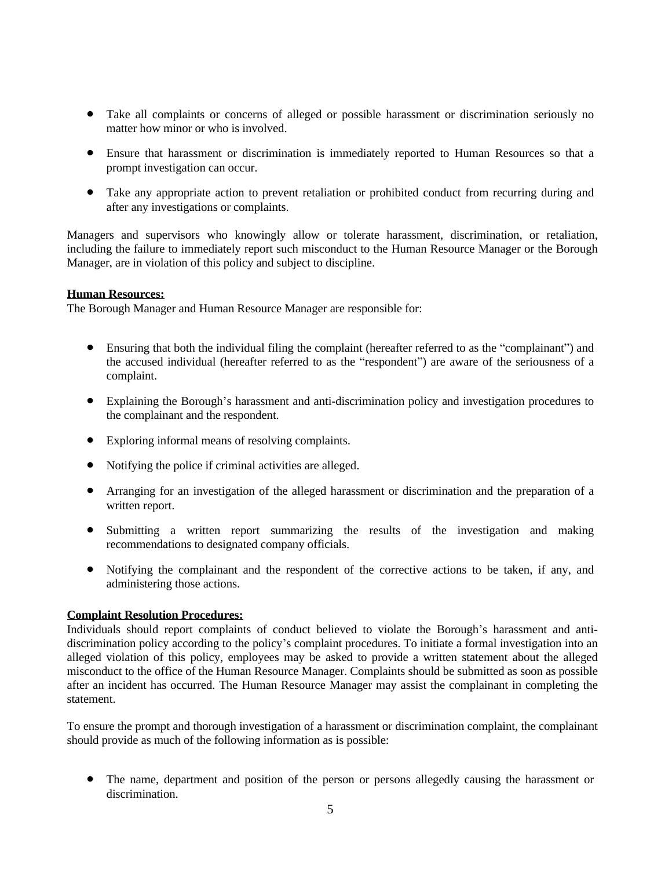- Take all complaints or concerns of alleged or possible harassment or discrimination seriously no matter how minor or who is involved.
- Ensure that harassment or discrimination is immediately reported to Human Resources so that a prompt investigation can occur.
- Take any appropriate action to prevent retaliation or prohibited conduct from recurring during and after any investigations or complaints.

Managers and supervisors who knowingly allow or tolerate harassment, discrimination, or retaliation, including the failure to immediately report such misconduct to the Human Resource Manager or the Borough Manager, are in violation of this policy and subject to discipline.

## **Human Resources:**

The Borough Manager and Human Resource Manager are responsible for:

- Ensuring that both the individual filing the complaint (hereafter referred to as the "complainant") and the accused individual (hereafter referred to as the "respondent") are aware of the seriousness of a complaint.
- Explaining the Borough's harassment and anti-discrimination policy and investigation procedures to the complainant and the respondent.
- Exploring informal means of resolving complaints.
- Notifying the police if criminal activities are alleged.
- Arranging for an investigation of the alleged harassment or discrimination and the preparation of a written report.
- Submitting a written report summarizing the results of the investigation and making recommendations to designated company officials.
- Notifying the complainant and the respondent of the corrective actions to be taken, if any, and administering those actions.

## **Complaint Resolution Procedures:**

Individuals should report complaints of conduct believed to violate the Borough's harassment and antidiscrimination policy according to the policy's complaint procedures. To initiate a formal investigation into an alleged violation of this policy, employees may be asked to provide a written statement about the alleged misconduct to the office of the Human Resource Manager. Complaints should be submitted as soon as possible after an incident has occurred. The Human Resource Manager may assist the complainant in completing the statement.

To ensure the prompt and thorough investigation of a harassment or discrimination complaint, the complainant should provide as much of the following information as is possible:

 The name, department and position of the person or persons allegedly causing the harassment or discrimination.